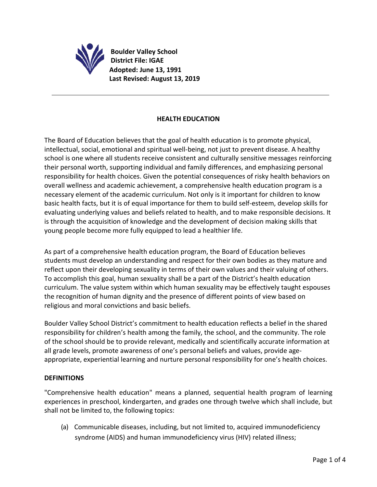

**Boulder Valley School District File: IGAE Adopted: June 13, 1991 Last Revised: August 13, 2019**

## **HEALTH EDUCATION**

The Board of Education believes that the goal of health education is to promote physical, intellectual, social, emotional and spiritual well-being, not just to prevent disease. A healthy school is one where all students receive consistent and culturally sensitive messages reinforcing their personal worth, supporting individual and family differences, and emphasizing personal responsibility for health choices. Given the potential consequences of risky health behaviors on overall wellness and academic achievement, a comprehensive health education program is a necessary element of the academic curriculum. Not only is it important for children to know basic health facts, but it is of equal importance for them to build self-esteem, develop skills for evaluating underlying values and beliefs related to health, and to make responsible decisions. It is through the acquisition of knowledge and the development of decision making skills that young people become more fully equipped to lead a healthier life.

As part of a comprehensive health education program, the Board of Education believes students must develop an understanding and respect for their own bodies as they mature and reflect upon their developing sexuality in terms of their own values and their valuing of others. To accomplish this goal, human sexuality shall be a part of the District's health education curriculum. The value system within which human sexuality may be effectively taught espouses the recognition of human dignity and the presence of different points of view based on religious and moral convictions and basic beliefs.

Boulder Valley School District's commitment to health education reflects a belief in the shared responsibility for children's health among the family, the school, and the community. The role of the school should be to provide relevant, medically and scientifically accurate information at all grade levels, promote awareness of one's personal beliefs and values, provide ageappropriate, experiential learning and nurture personal responsibility for one's health choices.

## **DEFINITIONS**

"Comprehensive health education" means a planned, sequential health program of learning experiences in preschool, kindergarten, and grades one through twelve which shall include, but shall not be limited to, the following topics:

(a) Communicable diseases, including, but not limited to, acquired immunodeficiency syndrome (AIDS) and human immunodeficiency virus (HIV) related illness;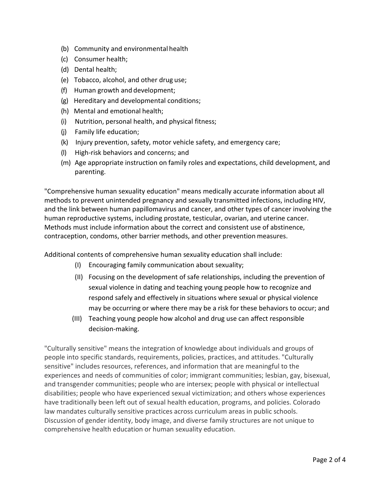- (b) Community and environmental health
- (c) Consumer health;
- (d) Dental health;
- (e) Tobacco, alcohol, and other drug use;
- (f) Human growth and development;
- (g) Hereditary and developmental conditions;
- (h) Mental and emotional health;
- (i) Nutrition, personal health, and physical fitness;
- (j) Family life education;
- (k) Injury prevention, safety, motor vehicle safety, and emergency care;
- (l) High-risk behaviors and concerns; and
- (m) Age appropriate instruction on family roles and expectations, child development, and parenting.

"Comprehensive human sexuality education" means medically accurate information about all methods to prevent unintended pregnancy and sexually transmitted infections, including HIV, and the link between human papillomavirus and cancer, and other types of cancer involving the human reproductive systems, including prostate, testicular, ovarian, and uterine cancer. Methods must include information about the correct and consistent use of abstinence, contraception, condoms, other barrier methods, and other prevention measures.

Additional contents of comprehensive human sexuality education shall include:

- (I) Encouraging family communication about sexuality;
- (II) Focusing on the development of safe relationships, including the prevention of sexual violence in dating and teaching young people how to recognize and respond safely and effectively in situations where sexual or physical violence may be occurring or where there may be a risk for these behaviors to occur; and
- (III) Teaching young people how alcohol and drug use can affect responsible decision-making.

"Culturally sensitive" means the integration of knowledge about individuals and groups of people into specific standards, requirements, policies, practices, and attitudes. "Culturally sensitive" includes resources, references, and information that are meaningful to the experiences and needs of communities of color; immigrant communities; lesbian, gay, bisexual, and transgender communities; people who are intersex; people with physical or intellectual disabilities; people who have experienced sexual victimization; and others whose experiences have traditionally been left out of sexual health education, programs, and policies. Colorado law mandates culturally sensitive practices across curriculum areas in public schools. Discussion of gender identity, body image, and diverse family structures are not unique to comprehensive health education or human sexuality education.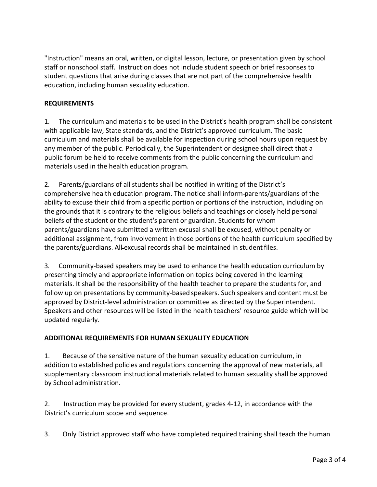"Instruction" means an oral, written, or digital lesson, lecture, or presentation given by school staff or nonschool staff. Instruction does not include student speech or brief responses to student questions that arise during classes that are not part of the comprehensive health education, including human sexuality education.

## **REQUIREMENTS**

1. The curriculum and materials to be used in the District's health program shall be consistent with applicable law, State standards, and the District's approved curriculum. The basic curriculum and materials shall be available for inspection during school hours upon request by any member of the public. Periodically, the Superintendent or designee shall direct that a public forum be held to receive comments from the public concerning the curriculum and materials used in the health education program.

2. Parents/guardians of all students shall be notified in writing of the District's comprehensive health education program. The notice shall inform parents/guardians of the ability to excuse their child from a specific portion or portions of the instruction, including on the grounds that it is contrary to the religious beliefs and teachings or closely held personal beliefs of the student or the student's parent or guardian. Students for whom parents/guardians have submitted a written excusal shall be excused, without penalty or additional assignment, from involvement in those portions of the health curriculum specified by the parents/guardians. All-excusal records shall be maintained in student files.

3. Community-based speakers may be used to enhance the health education curriculum by presenting timely and appropriate information on topics being covered in the learning materials. It shall be the responsibility of the health teacher to prepare the students for, and follow up on presentations by community-based speakers. Such speakers and content must be approved by District-level administration or committee as directed by the Superintendent. Speakers and other resources will be listed in the health teachers' resource guide which will be updated regularly.

## **ADDITIONAL REQUIREMENTS FOR HUMAN SEXUALITY EDUCATION**

1. Because of the sensitive nature of the human sexuality education curriculum, in addition to established policies and regulations concerning the approval of new materials, all supplementary classroom instructional materials related to human sexuality shall be approved by School administration.

2. Instruction may be provided for every student, grades 4-12, in accordance with the District's curriculum scope and sequence.

3. Only District approved staff who have completed required training shall teach the human